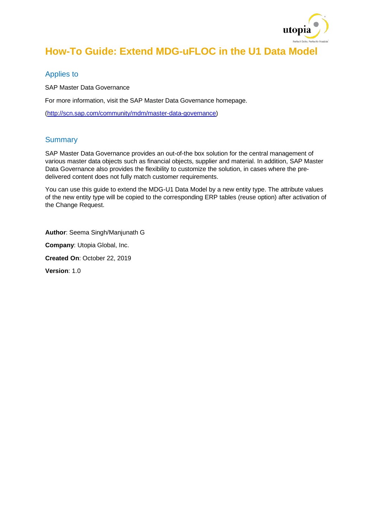

## **How-To Guide: Extend MDG-uFLOC in the U1 Data Model**

#### Applies to

SAP Master Data Governance

For more information, visit the SAP Master Data Governance homepage.

[\(http://scn.sap.com/community/mdm/master-data-governance\)](http://scn.sap.com/community/mdm/master-data-governance)

#### **Summary**

SAP Master Data Governance provides an out-of-the box solution for the central management of various master data objects such as financial objects, supplier and material. In addition, SAP Master Data Governance also provides the flexibility to customize the solution, in cases where the predelivered content does not fully match customer requirements.

You can use this guide to extend the MDG-U1 Data Model by a new entity type. The attribute values of the new entity type will be copied to the corresponding ERP tables (reuse option) after activation of the Change Request.

**Author**: Seema Singh/Manjunath G

**Company**: Utopia Global, Inc.

**Created On**: October 22, 2019

**Version**: 1.0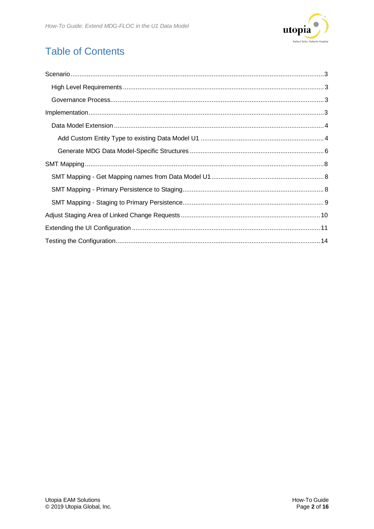

# **Table of Contents**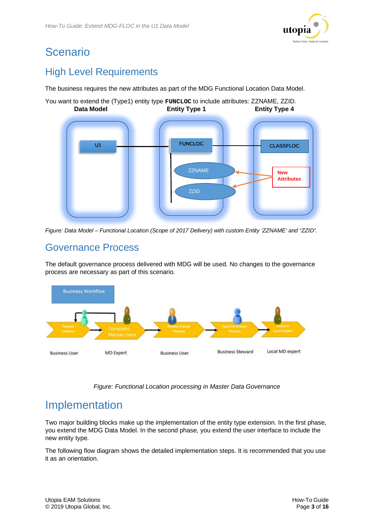

# <span id="page-2-0"></span>Scenario

## <span id="page-2-1"></span>High Level Requirements

The business requires the new attributes as part of the MDG Functional Location Data Model.

You want to extend the (Type1) entity type **FUNCLOC** to include attributes: ZZNAME, ZZID. **Data Model <b>Entity Type 1** Entity Type 4





### <span id="page-2-2"></span>Governance Process

The default governance process delivered with MDG will be used. No changes to the governance process are necessary as part of this scenario.



*Figure: Functional Location processing in Master Data Governance*

# <span id="page-2-3"></span>Implementation

Two major building blocks make up the implementation of the entity type extension. In the first phase, you extend the MDG Data Model. In the second phase, you extend the user interface to include the new entity type.

The following flow diagram shows the detailed implementation steps. It is recommended that you use it as an orientation.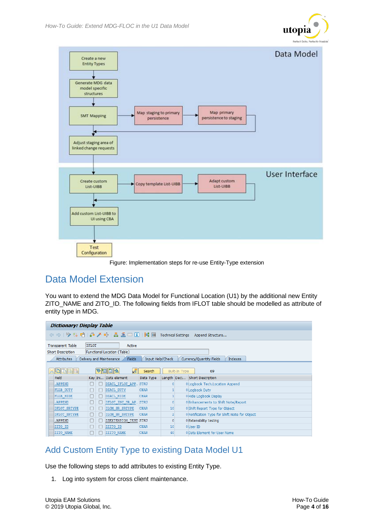



Figure: Implementation steps for re-use Entity-Type extension

### <span id="page-3-0"></span>Data Model Extension

You want to extend the MDG Data Model for Functional Location (U1) by the additional new Entity ZITO\_NAME and ZITO\_ID. The following fields from IFLOT table should be modelled as attribute of entity type in MDG.

|                          | <b>Dictionary: Display Table</b>                                                     |  |                                           |                  |                |               |                                              |  |  |
|--------------------------|--------------------------------------------------------------------------------------|--|-------------------------------------------|------------------|----------------|---------------|----------------------------------------------|--|--|
|                          | ○ ○   ⑨ ◎ 哈   命 / 论   晶 三 回 日   調 冊<br><b>Technical Settings</b><br>Append Structure |  |                                           |                  |                |               |                                              |  |  |
| <b>Transparent Table</b> | <b>IFLOT</b>                                                                         |  | Active                                    |                  |                |               |                                              |  |  |
| <b>Short Description</b> |                                                                                      |  | Functional Location (Table)               |                  |                |               |                                              |  |  |
| <b>Attributes</b>        |                                                                                      |  | <b>Fields</b><br>Delivery and Maintenance | Input Help/Check |                |               | Currency/Quantity Fields<br><b>Indexes</b>   |  |  |
|                          |                                                                                      |  |                                           |                  |                |               |                                              |  |  |
| <b>diese</b>             |                                                                                      |  | <b>Vrida</b><br>LR                        | Search           |                | Built-In Type | 69                                           |  |  |
| Field                    |                                                                                      |  | Key Ini Data element                      | Data Type        | Length Deci    |               | Short Description                            |  |  |
| . APPEND                 |                                                                                      |  | DIACL IFLOT APP  STRU                     |                  | $\circ$        |               | 0 Logbook Tech.Location Append               |  |  |
| <b>FLLB DUTY</b>         |                                                                                      |  | DIACL DUTY                                | <b>CHAR</b>      |                |               | 0 Logbook Duty                               |  |  |
| <b>FLLB HIDE</b>         |                                                                                      |  | DIACL HIDE                                | <b>CHAR</b>      |                |               | O Hide Logbook Display                       |  |  |
| . APPEND                 |                                                                                      |  | IFLOT INC SR AP  STRU                     |                  | $\circ$        |               | 0 Enhancements to Shift Note/Report          |  |  |
| IFLOT SRTYPE             |                                                                                      |  | ILOM SR SRTYPE                            | <b>CHAR</b>      | 10             |               | 0 Shift Report Type for Object               |  |  |
| IFLOT SNTYPE             |                                                                                      |  | ILOM SN SNTYPE                            | <b>CHAR</b>      | $\overline{2}$ |               | ONotification Type for Shift Note for Object |  |  |
| . APPEND                 |                                                                                      |  | <b>ZZEXTENSION TEST STRU</b>              |                  | $\circ$        |               | 0 Extensibility testing                      |  |  |
| ZITO ID                  |                                                                                      |  | ZZITO ID                                  | <b>CHAR</b>      | 10             |               | 0User ID                                     |  |  |
| <b>ZITO NAME</b>         |                                                                                      |  | ZZITO NAME                                | <b>CHAR</b>      | 40             |               | OData Element for User Name                  |  |  |

### <span id="page-3-1"></span>Add Custom Entity Type to existing Data Model U1

Use the following steps to add attributes to existing Entity Type.

1. Log into system for cross client maintenance.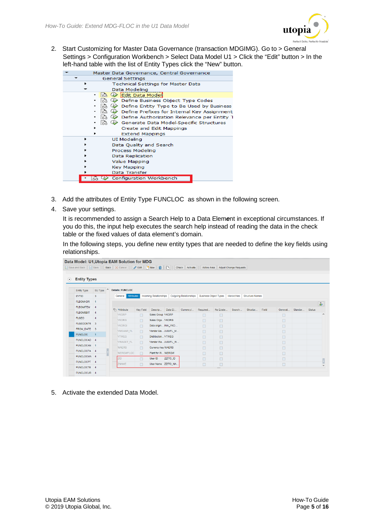

2. Start Customizing for Master Data Governance (transaction MDGIMG). Go to > General Settings > Configuration Workbench > Select Data Model U1 > Click the "Edit" button > In the left-hand table with the list of Entity Types click the "New" button.

| Master Data Governance, Central Governance        |  |  |  |  |  |  |  |  |  |
|---------------------------------------------------|--|--|--|--|--|--|--|--|--|
| General Settings                                  |  |  |  |  |  |  |  |  |  |
| Technical Settings for Master Data                |  |  |  |  |  |  |  |  |  |
| Data Modeling                                     |  |  |  |  |  |  |  |  |  |
| Edit Data Model<br>$\rightarrow$                  |  |  |  |  |  |  |  |  |  |
| Define Business Object Type Codes                 |  |  |  |  |  |  |  |  |  |
| Define Entity Type to Be Used by Business         |  |  |  |  |  |  |  |  |  |
| Define Prefixes for Internal Key Assignment       |  |  |  |  |  |  |  |  |  |
| Define Authorization Relevance per Entity 1       |  |  |  |  |  |  |  |  |  |
| F3 (b)<br>Generate Data Model-Specific Structures |  |  |  |  |  |  |  |  |  |
| Create and Edit Mappings                          |  |  |  |  |  |  |  |  |  |
| <b>Extend Mappings</b>                            |  |  |  |  |  |  |  |  |  |
| UI Modeling                                       |  |  |  |  |  |  |  |  |  |
| Data Quality and Search                           |  |  |  |  |  |  |  |  |  |
| Process Modeling                                  |  |  |  |  |  |  |  |  |  |
| Data Replication                                  |  |  |  |  |  |  |  |  |  |
| Value Mapping                                     |  |  |  |  |  |  |  |  |  |
| Key Mapping                                       |  |  |  |  |  |  |  |  |  |
| Data Transfer                                     |  |  |  |  |  |  |  |  |  |
| Configuration Workbench                           |  |  |  |  |  |  |  |  |  |
|                                                   |  |  |  |  |  |  |  |  |  |

- 3. Add the attributes of Entity Type FUNCLOC as shown in the following screen.
- 4. Save your settings.

It is recommended to assign a Search Help to a Data Elem*e*nt in exceptional circumstances. If you do this, the input help executes the search help instead of reading the data in the check table or the fixed values of data element's domain.

In the following steps, you define new entity types that are needed to define the key fields using relationships.

|                        |                                | Data Model: U1, Utopia EAM Solution for MDG |                  |                               |          | <b>O</b> Check Activate       | Active Area                  |            | Adjust Change Requests |                        |       |         |         |               |                          |
|------------------------|--------------------------------|---------------------------------------------|------------------|-------------------------------|----------|-------------------------------|------------------------------|------------|------------------------|------------------------|-------|---------|---------|---------------|--------------------------|
| <b>Entity Types</b>    |                                |                                             |                  |                               |          |                               |                              |            |                        |                        |       |         |         |               |                          |
| <b>Entity Type</b>     | $\hat{\phantom{a}}$<br>SU Type | <b>Details: FUNCLOC</b>                     |                  |                               |          |                               |                              |            |                        |                        |       |         |         |               |                          |
| <b>EVTID</b>           | 3                              | <b>Attributes</b><br>General                |                  | <b>Incoming Relationships</b> |          | <b>Outgoing Relationships</b> | <b>Business Object Types</b> |            | Hierarchies            | <b>Structure Names</b> |       |         |         |               |                          |
| <b>FLBOMHDR</b>        | $\overline{1}$                 |                                             |                  |                               |          |                               |                              |            |                        |                        |       |         |         |               | $\partial_{\mathcal{F}}$ |
| FLBOMITEM 4            |                                | <b>『in *Attribute</b>                       | <b>Key Field</b> | Descrip                       | Data El  | Currency/                     | Required                     | No Existe  | Search                 | Structur               | Field | Generat | Standar | <b>Status</b> |                          |
| <b>FLBOMSBIT</b>       | $\overline{4}$                 | <b>VKGRP</b>                                | П                | Sales Group VKGRP             |          |                               | □                            | □          |                        |                        |       | $\Box$  |         |               |                          |
| <b>FLGEO</b>           | $\overline{4}$                 | <b>VKORG</b>                                | $\Box$           | Sales Orga VKORG              |          |                               | $\Box$                       | □          |                        |                        |       | $\Box$  |         |               |                          |
| FLGEOCNTR 3            |                                | <b>VKORGI</b>                               | п                | Data origin INH_VKO           |          |                               | п                            | □          |                        |                        |       | □       |         |               |                          |
| FROM DATE 3            |                                | <b>VMGANR_FL</b>                            | $\Box$           | Vendor Ma /UGI/FL M           |          |                               | п                            | □          |                        |                        |       | $\Box$  |         |               |                          |
| <b>FUNCLOC</b>         | $\overline{1}$                 | <b>VTWEG</b>                                |                  | Distribution VTWEG            |          |                               |                              |            |                        |                        |       |         |         |               |                          |
| FUNCLOCAD 4            |                                | <b>WAGET FL</b>                             | $\Box$           | Vendor Wa/UGI/FL W            |          |                               | $\Box$                       | $\Box$     |                        |                        |       | $\Box$  |         |               |                          |
| FUNCLOCAN 1            |                                |                                             | $\Box$           |                               |          |                               | $\Box$                       | $\Box$     |                        |                        |       | $\Box$  |         |               |                          |
| FUNCLOCFA 4            |                                | <b>WAERS</b>                                | $\Box$           | Currency key WAERS            |          |                               | □                            | □          |                        |                        |       | □       |         |               |                          |
| FUNCLOCMA <sub>4</sub> |                                | WERGWFLOC                                   | п                | Plant for W WERGW             |          |                               | □                            | □          |                        |                        |       | $\Box$  |         |               |                          |
| FUNCLOCPT 4            |                                | ZID                                         |                  | User ID                       | ZZITO_ID |                               | $\Box$                       | $\Box$     |                        |                        |       | □       |         |               |                          |
| FUNCLOCTE 4            |                                | ZNAME                                       | $\Box$           | User Name ZZITO NA            |          |                               | $\Box$                       | $\Box$<br> |                        |                        |       | $\Box$  |         |               |                          |
| FUNCLOCUR <sub>4</sub> |                                |                                             |                  |                               |          |                               |                              |            |                        |                        |       |         |         |               |                          |

5. Activate the extended Data Model.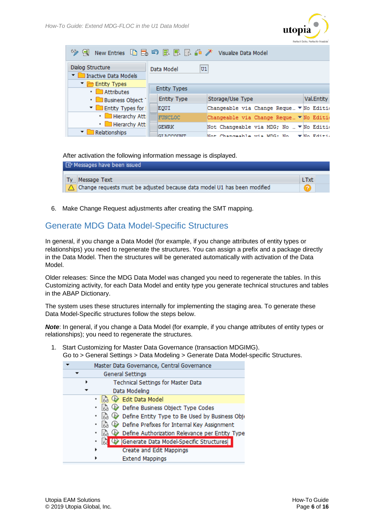

| 68. J                                             |                                                            |                                   |  |  |  |  |  |  |  |
|---------------------------------------------------|------------------------------------------------------------|-----------------------------------|--|--|--|--|--|--|--|
| Dialog Structure<br>Inactive Data Models          | U1<br>Data Model                                           |                                   |  |  |  |  |  |  |  |
| $\blacksquare$ Entity Types<br>$\cdot$ Attributes | <b>Entity Types</b>                                        |                                   |  |  |  |  |  |  |  |
| • Business Object                                 | Storage/Use Type<br><b>Entity Type</b>                     | Val.Entity                        |  |  |  |  |  |  |  |
| $\blacksquare$ Entity Types for                   | Changeable via Change Reque… ▼ No Editio<br>EQUI           |                                   |  |  |  |  |  |  |  |
| • Hierarchy Att                                   | <b>FUNCLOC</b><br>Changeable via Change Reque… ▼ No Editio |                                   |  |  |  |  |  |  |  |
| • Hierarchy Att                                   | <b>GEWRK</b><br>Not Changeable via MDG; No  ▼ No Edition   |                                   |  |  |  |  |  |  |  |
| Relationships                                     | Mot Changeable via MDC: Mo<br>CT ACCOUNT                   | $\blacktriangleright$ Mo. Edittin |  |  |  |  |  |  |  |

#### After activation the following information message is displayed.

| 그녀 Messages have been issued                                             |      |  |  |  |  |  |
|--------------------------------------------------------------------------|------|--|--|--|--|--|
|                                                                          |      |  |  |  |  |  |
| Ty <sub></sub> Message Text                                              | LTxt |  |  |  |  |  |
| Change requests must be adjusted because data model U1 has been modified |      |  |  |  |  |  |

6. Make Change Request adjustments after creating the SMT mapping.

### <span id="page-5-0"></span>Generate MDG Data Model-Specific Structures

In general, if you change a Data Model (for example, if you change attributes of entity types or relationships) you need to regenerate the structures. You can assign a prefix and a package directly in the Data Model. Then the structures will be generated automatically with activation of the Data Model.

Older releases: Since the MDG Data Model was changed you need to regenerate the tables. In this Customizing activity, for each Data Model and entity type you generate technical structures and tables in the ABAP Dictionary.

The system uses these structures internally for implementing the staging area. To generate these Data Model-Specific structures follow the steps below.

*Note*: In general, if you change a Data Model (for example, if you change attributes of entity types or relationships); you need to regenerate the structures.

1. Start Customizing for Master Data Governance (transaction MDGIMG). Go to > General Settings > Data Modeling > Generate Data Model-specific Structures.

| Master Data Governance, Central Governance           |
|------------------------------------------------------|
| <b>General Settings</b>                              |
| Technical Settings for Master Data                   |
| Data Modeling                                        |
| · a ① Edit Data Model                                |
| B (↓ Define Business Object Type Codes               |
| is (↓ Define Entity Type to Be Used by Business Obje |
| is O Define Prefixes for Internal Key Assignment     |
| Define Authorization Relevance per Entity Type       |
| ■ → Generate Data Model-Specific Structures          |
| Create and Edit Mappings<br>٠                        |
| <b>Extend Mappings</b>                               |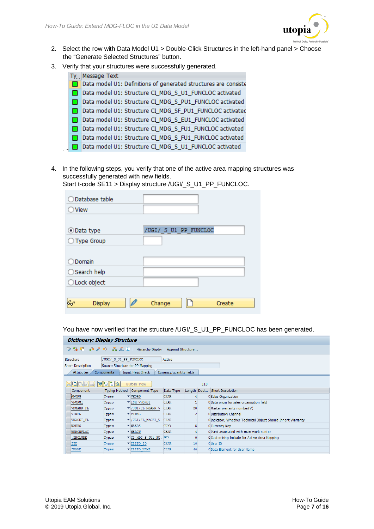

- 2. Select the row with Data Model U1 > Double-Click Structures in the left-hand panel > Choose the "Generate Selected Structures" button.
- 3. Verify that your structures were successfully generated.

| Ty . | Message Text                                                    |
|------|-----------------------------------------------------------------|
|      | Data model U1: Definitions of generated structures are consiste |
|      | Data model U1: Structure CI_MDG_S_U1_FUNCLOC activated          |
|      | Data model U1: Structure CI_MDG_S_PU1_FUNCLOC activated         |
|      | Data model U1: Structure CI_MDG_SF_PU1_FUNCLOC activated        |
|      | Data model U1: Structure CI_MDG_S_EU1_FUNCLOC activated         |
|      | Data model U1: Structure CI_MDG_S_FU1_FUNCLOC activated         |
|      | Data model U1: Structure CI_MDG_S_FU1_FUNCLOC activated         |
|      | Data model U1: Structure CI_MDG_S_U1_FUNCLOC activated          |

4. In the following steps, you verify that one of the active area mapping structures was successfully generated with new fields.

Start t-code SE11 > Display structure /UGI/\_S\_U1\_PP\_FUNCLOC.

| Database table     |                       |
|--------------------|-----------------------|
| View               |                       |
|                    |                       |
| ⊙Data type         | /UGI/ S_U1_PP_FUNCLOC |
| ◯ Type Group       |                       |
|                    |                       |
| Domain             |                       |
| ◯ Search help      |                       |
| ○Lock object       |                       |
|                    |                       |
| ΚY<br>Ø<br>Display | Change<br>Create      |

You have now verified that the structure /UGI/\_S\_U1\_PP\_FUNCLOC has been generated.

| <b>Dictionary: Display Structure</b>                                    |                                 |                               |                          |                |  |                                                               |  |  |  |
|-------------------------------------------------------------------------|---------------------------------|-------------------------------|--------------------------|----------------|--|---------------------------------------------------------------|--|--|--|
| <sup>6</sup> 》 ‰ 며   습 / 따   晶 트 口   Hierarchy Display Append Structure |                                 |                               |                          |                |  |                                                               |  |  |  |
| /UGI/ S U1 PP FUNCLOC<br>Active<br>Structure                            |                                 |                               |                          |                |  |                                                               |  |  |  |
| <b>Short Description</b>                                                | Source Structure for PP Mapping |                               |                          |                |  |                                                               |  |  |  |
| <b>Attributes</b>                                                       | Components                      | Input Help/Check              | Currency/quantity fields |                |  |                                                               |  |  |  |
| <b>r</b> rel<br>岡<br>ନ<br>衙<br>⊮<br>Built-In Type<br>110                |                                 |                               |                          |                |  |                                                               |  |  |  |
| Component                                                               | <b>Typing Method</b>            | Component Type                | Data Type                | Length Deci    |  | Short Description                                             |  |  |  |
| VKORG                                                                   | Types                           | $\blacktriangledown$ VKORG    | <b>CHAR</b>              |                |  | 0 Sales Organization                                          |  |  |  |
| <b>VKORGI</b>                                                           | Types                           | <b>VINH VKORGI</b>            | <b>CHAR</b>              |                |  | 0 Data origin for sales organization field                    |  |  |  |
| VMGANR FL                                                               | Types                           | V/UGI/FL MGANR V              | <b>CHAR</b>              | 20             |  | 0 Master warranty number(V)                                   |  |  |  |
| <b>VTWEG</b>                                                            | Types                           | $\blacktriangledown$ VTWEG    | <b>CHAR</b>              | $\overline{2}$ |  | 0 Distribution Channel                                        |  |  |  |
| <b>VWAGET FL</b>                                                        | Types                           | V/UGI/FL WAGET V              | <b>CHAR</b>              |                |  | 0 Indicator, Whether Technical Object Should Inherit Warranty |  |  |  |
| <b>WAERS</b>                                                            | Types                           | $\blacktriangledown$ WAERS    | <b>CUKY</b>              |                |  | 0 Currency Key                                                |  |  |  |
| <b>WERGWFLOC</b>                                                        | Types                           | $\blacktriangledown$ WERGW    | <b>CHAR</b>              |                |  | 0 Plant associated with main work center                      |  |  |  |
| . INCLUDE                                                               | Types                           | ▼ CI MDG S PU1 FU.            | œ                        | $\circ$        |  | 0 Customizing Include for Active Area Mapping                 |  |  |  |
| ZID                                                                     | Types                           | $\blacktriangledown$ ZZITO ID | <b>CHAR</b>              | 10             |  | 0 User ID                                                     |  |  |  |
| <b>ZNAME</b>                                                            | Types                           | <b>VZZITO NAME</b>            | <b>CHAR</b>              | 40             |  | OData Element for User Name                                   |  |  |  |
|                                                                         |                                 |                               |                          |                |  |                                                               |  |  |  |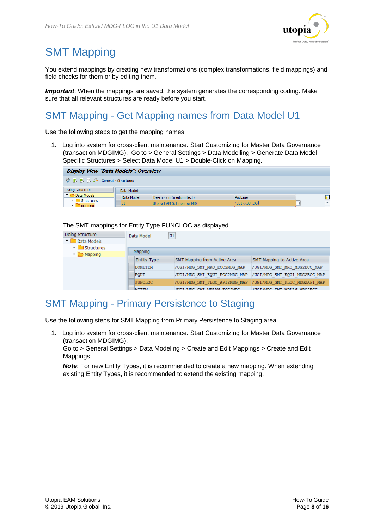

# <span id="page-7-0"></span>SMT Mapping

You extend mappings by creating new transformations (complex transformations, field mappings) and field checks for them or by editing them.

**Important**: When the mappings are saved, the system generates the corresponding coding. Make sure that all relevant structures are ready before you start.

## <span id="page-7-1"></span>SMT Mapping - Get Mapping names from Data Model U1

Use the following steps to get the mapping names.

1. Log into system for cross-client maintenance. Start Customizing for Master Data Governance (transaction MDGIMG). Go to > General Settings > Data Modelling > Generate Data Model Specific Structures > Select Data Model U1 > Double-Click on Mapping.

| Display View "Data Models": Overview     |             |                             |              |  |                |  |  |
|------------------------------------------|-------------|-----------------------------|--------------|--|----------------|--|--|
| <sup>6</sup> 配 配 配 命 Generate Structures |             |                             |              |  |                |  |  |
| Dialog Structure                         | Data Models |                             |              |  |                |  |  |
| Data Models<br>$\cdot$ Structures        | Data Model  | Description (medium text)   | Package      |  | $\blacksquare$ |  |  |
| $\cdot$ Monning                          | lU1         | Utopia EAM Solution for MDG | /UGI/MDG_EAM |  | ▲              |  |  |

#### The SMT mappings for Entity Type FUNCLOC as displayed.

| Dialog Structure                       | Data Model         | U1                            |                               |
|----------------------------------------|--------------------|-------------------------------|-------------------------------|
| Data Models                            |                    |                               |                               |
| $\blacksquare$ Structures<br>$\cdot$ 1 | <b>Mapping</b>     |                               |                               |
| $\cdot$ $\blacksquare$ Mapping         |                    |                               |                               |
|                                        | <b>Entity Type</b> | SMT Mapping from Active Area  | SMT Mapping to Active Area    |
|                                        | <b>BOMITEM</b>     | /UGI/MDG SMT MRO ECC2MDG MAP  | /UGI/MDG SMT MRO MDG2ECC MAP  |
|                                        | EQUI               | /UGI/MDG_SMT_EQUI_ECC2MDG_MAP | /UGI/MDG SMT EQUI MDG2ECC MAP |
|                                        | <b>FUNCLOC</b>     | /UGI/MDG SMT FLOC API2MDG MAP | /UGI/MDG SMT FLOC MDG2API MAP |
|                                        | <b>NATIVITAL</b>   | THAT BUDG CUT MOT AN ROCAMBO  | THAT BUDG CUT MOT MI MOGODOG  |

### <span id="page-7-2"></span>SMT Mapping - Primary Persistence to Staging

Use the following steps for SMT Mapping from Primary Persistence to Staging area.

1. Log into system for cross-client maintenance. Start Customizing for Master Data Governance (transaction MDGIMG).

Go to > General Settings > Data Modeling > Create and Edit Mappings > Create and Edit Mappings.

*Note*: For new Entity Types, it is recommended to create a new mapping. When extending existing Entity Types, it is recommended to extend the existing mapping.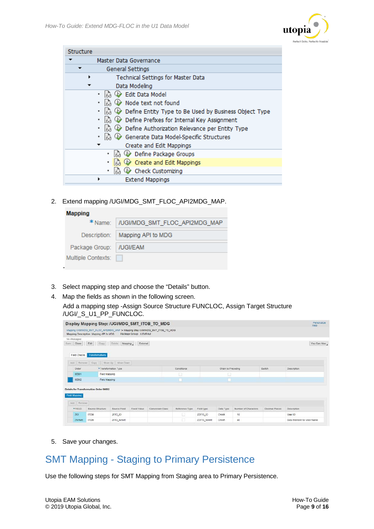

| Structure |                                                             |
|-----------|-------------------------------------------------------------|
|           | Master Data Governance                                      |
|           | General Settings                                            |
|           | Technical Settings for Master Data                          |
|           | Data Modeling                                               |
|           | Edit Data Model                                             |
|           | Node text not found                                         |
|           | Define Entity Type to Be Used by Business Object Type<br>la |
|           | Define Prefixes for Internal Key Assignment                 |
|           | Define Authorization Relevance per Entity Type<br>la        |
|           | Generate Data Model-Specific Structures<br>Iz.              |
|           | Create and Edit Mappings                                    |
|           | Define Package Groups<br>Iza                                |
|           | Create and Edit Mappings<br><b>EA</b>                       |
|           | Check Customizing                                           |
|           | <b>Extend Mappings</b>                                      |

2. Extend mapping /UGI/MDG\_SMT\_FLOC\_API2MDG\_MAP.

| <b>Mapping</b>     |                               |
|--------------------|-------------------------------|
| * Name:            | /UGI/MDG_SMT_FLOC_API2MDG_MAP |
| Description:       | Mapping API to MDG            |
| Package Group:     | /UGI/EAM                      |
| Multiple Contexts: |                               |
|                    |                               |

- 3. Select mapping step and choose the "Details" button.
- 4. Map the fields as shown in the following screen.
	- Add a mapping step -Assign Source Structure FUNCLOC, Assign Target Structure /UGI/\_S\_U1\_PP\_FUNCLOC.

|               |                                        |                               |                        | Display Mapping Step: /UGI/MDG SMT ITOB TO MDG                                |                |            |                    |                      |                | Personalize<br><b>Help</b> |
|---------------|----------------------------------------|-------------------------------|------------------------|-------------------------------------------------------------------------------|----------------|------------|--------------------|----------------------|----------------|----------------------------|
|               | Mapping Description Mapping API to MDG |                               | Package Group /UGI/EAM | Mapping /UGI/MDG_SMT_FLOC_API2MDG_MAP > Mapping Step /UGI/MDG_SMT_ITOB_TO_MDG |                |            |                    |                      |                |                            |
| No Messages   |                                        |                               |                        |                                                                               |                |            |                    |                      |                |                            |
| Close<br>Save | Edit<br>Copy                           | Delete<br>Mapping             | External               |                                                                               |                |            |                    |                      |                | You Can Also               |
|               |                                        |                               |                        |                                                                               |                |            |                    |                      |                |                            |
| Field Checks  | Transformations                        |                               |                        |                                                                               |                |            |                    |                      |                |                            |
| Arid          |                                        | Remove Copy Move Up Move Down |                        |                                                                               |                |            |                    |                      |                |                            |
| Order         |                                        | *Transformation Type          |                        |                                                                               | Conditional    |            | Chain to Preceding |                      | Switch         | Description                |
| 00001         |                                        | Field Mapping                 |                        |                                                                               |                |            | □                  |                      |                |                            |
| 00002         |                                        | Field Mapping                 |                        |                                                                               |                |            |                    |                      |                |                            |
|               |                                        |                               |                        |                                                                               |                |            |                    |                      |                |                            |
|               | Details for Transformation Order 00002 |                               |                        |                                                                               |                |            |                    |                      |                |                            |
| Field Mapping |                                        |                               |                        |                                                                               |                |            |                    |                      |                |                            |
| Add Remove    |                                        |                               |                        |                                                                               |                |            |                    |                      |                |                            |
| *FIELD        | Source Structure                       | Source Field                  | Fixed Value            | Conversion Class                                                              | Reference Type | Field type | Data Type          | Number of Characters | Decimal Places | Description                |
| ZID.          | <b>ITOB</b>                            | ZITO_ID                       |                        |                                                                               |                | ZZITO_ID   | CHAR               | 10                   |                | User ID                    |
| ZNAME         | <b>ITOB</b>                            | ZITO_NAME                     |                        |                                                                               |                | ZZITO_NAME | CHAR               | 40                   |                | Data Element for User Name |

5. Save your changes.

### <span id="page-8-0"></span>SMT Mapping - Staging to Primary Persistence

Use the following steps for SMT Mapping from Staging area to Primary Persistence.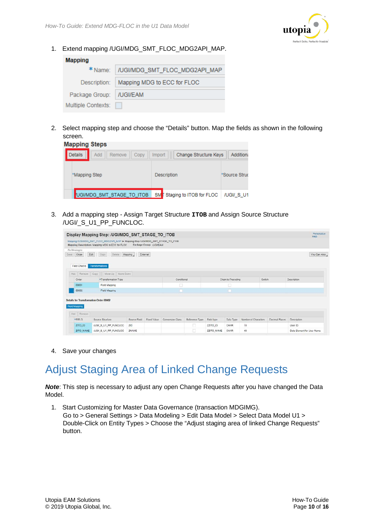

1. Extend mapping /UGI/MDG\_SMT\_FLOC\_MDG2API\_MAP.

| <b>Mapping</b>        |                               |
|-----------------------|-------------------------------|
| $*$ Name: $\parallel$ | /UGI/MDG_SMT_FLOC_MDG2API_MAP |
| Description:          | Mapping MDG to ECC for FLOC   |
| Package Group:        | /UGI/EAM                      |
| Multiple Contexts:    |                               |

2. Select mapping step and choose the "Details" button. Map the fields as shown in the following screen.

| <b>Mapping Steps</b>                    |                                          |               |
|-----------------------------------------|------------------------------------------|---------------|
| <b>Details</b><br>Add<br>Copy<br>Remove | Change Structure Keys<br>Import          | Addition:     |
| *Mapping Step                           | <b>Description</b>                       | *Source Struc |
| UGI/MDG_SMT_STAGE_TO_ITOB               | SM Staging to ITOB for FLOC   /UGI/_S_U1 |               |

3. Add a mapping step - Assign Target Structure **ITOB** and Assign Source Structure /UGI/\_S\_U1\_PP\_FUNCLOC.

|                                                                              | Display Mapping Step: /UGI/MDG SMT STAGE TO ITOB                                                                                   |              |                        |                  |                |                              |           |                      |                | Personalize<br>Help: |
|------------------------------------------------------------------------------|------------------------------------------------------------------------------------------------------------------------------------|--------------|------------------------|------------------|----------------|------------------------------|-----------|----------------------|----------------|----------------------|
|                                                                              | Mapping /UGI/MDG_SMT_FLOC_MDG2API_MAP > Mapping Step /UGI/MDG_SMT_STAGE_TO_ITOB<br>Mapping Description Mapping MDG to ECC for FLOC |              | Package Group /UGI/EAM |                  |                |                              |           |                      |                |                      |
| No Messages<br>Close<br>Edit<br>Save <sup>®</sup><br>Field Checks            | Delete<br>Copy<br>Transformations                                                                                                  | Mapping      | External               |                  |                |                              |           |                      |                | You Can Also         |
| Remove Copy<br>Add                                                           | Move Up   Move Down                                                                                                                |              |                        |                  |                |                              |           |                      |                |                      |
| Order                                                                        | *Transformation Type                                                                                                               |              |                        | Conditional      |                | Chain to Preceding<br>Switch |           |                      | Description    |                      |
| 00001                                                                        | Field Mapping                                                                                                                      |              |                        |                  |                | ш                            |           |                      |                |                      |
| 00002                                                                        | Field Mapping                                                                                                                      |              |                        |                  |                |                              |           |                      |                |                      |
| Details for Transformation Order 00002<br><b>Field Mapping</b><br>Add Remove |                                                                                                                                    |              |                        |                  |                |                              |           |                      |                |                      |
| *FIELD                                                                       | Source Structure                                                                                                                   | Source Field | Fixed Value            | Conversion Class | Reference Type | Field type                   | Data Type | Number of Characters | Decimal Places | Description          |
| ZITO_ID                                                                      | /UGI/_S_U1_PP_FUNCLOC                                                                                                              | ZID          |                        |                  |                | ZZITO_ID                     | CHAR      | 10                   |                | <b>User ID</b>       |
|                                                                              |                                                                                                                                    |              |                        |                  |                |                              |           |                      |                |                      |

4. Save your changes

# <span id="page-9-0"></span>Adjust Staging Area of Linked Change Requests

*Note*: This step is necessary to adjust any open Change Requests after you have changed the Data Model.

1. Start Customizing for Master Data Governance (transaction MDGIMG). Go to > General Settings > Data Modeling > Edit Data Model > Select Data Model U1 > Double-Click on Entity Types > Choose the "Adjust staging area of linked Change Requests" button.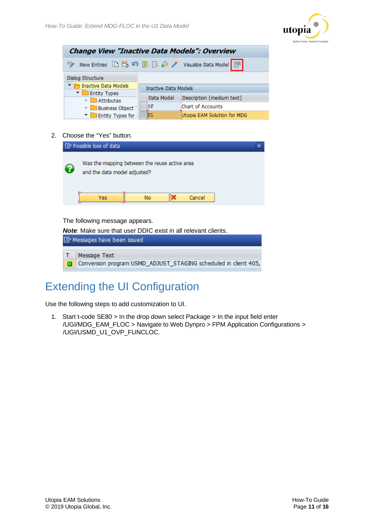

| <b>Change View "Inactive Data Models": Overview</b>   |                             |                   |  |  |  |  |
|-------------------------------------------------------|-----------------------------|-------------------|--|--|--|--|
| 63,                                                   |                             |                   |  |  |  |  |
| Dialog Structure                                      |                             |                   |  |  |  |  |
| Inactive Data Models                                  | <b>Inactive Data Models</b> |                   |  |  |  |  |
| Types <b>The Entity Types</b>                         |                             |                   |  |  |  |  |
| Data Model<br>Description (medium text)<br>Attributes |                             |                   |  |  |  |  |
| · Business Object                                     | 0F                          | Chart of Accounts |  |  |  |  |
| <b>Entity Types for</b>                               | Utopia EAM Solution for MDG |                   |  |  |  |  |

#### 2. Choose the "Yes" button.



#### The following message appears.

*Note*: Make sure that user DDIC exist in all relevant clients.

| E Messages have been issued                                     |
|-----------------------------------------------------------------|
| T. Message Text                                                 |
| Conversion program USMD_ADJUST_STAGING scheduled in client 405, |

# <span id="page-10-0"></span>Extending the UI Configuration

Use the following steps to add customization to UI.

1. Start t-code SE80 > In the drop down select Package > In the input field enter /UGI/MDG\_EAM\_FLOC > Navigate to Web Dynpro > FPM Application Configurations > /UGI/USMD\_U1\_OVP\_FUNCLOC.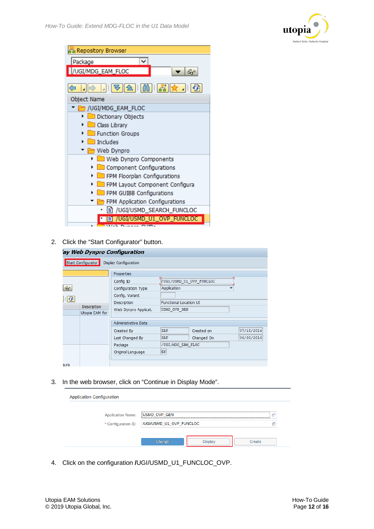

| à Repository Browser                                     |
|----------------------------------------------------------|
| ◡<br>Package                                             |
| /UGI/MDG_EAM_FLOC<br>ଙ୍କ                                 |
|                                                          |
|                                                          |
| Object Name                                              |
| /UGI/MDG_EAM_FLOC                                        |
| Dictionary Objects                                       |
| Class Library                                            |
| Function Groups                                          |
| $\Box$ Includes                                          |
| Web Dynpro                                               |
| Web Dynpro Components                                    |
| Component Configurations                                 |
| FPM Floorplan Configurations                             |
| FPM Layout Component Configura                           |
| FPM GUIBB Configurations                                 |
| FPM Application Configurations                           |
| <sup>■</sup> /UGI/USMD_SEARCH_FUNCLOC                    |
| <b>■ /UGI/USMD_U1_OVP_FUNCLOC</b><br>Misk Downey Cliffs. |

2. Click the "Start Configurator" button.

| ay Web Dynpro Configuration                       |                                                                  |                                               |            |            |
|---------------------------------------------------|------------------------------------------------------------------|-----------------------------------------------|------------|------------|
| Start Configurator                                | Display Configuration                                            |                                               |            |            |
| $60^{\circ}$                                      | Properties<br>Config ID<br>Configuration Type<br>Config. Variant | VUGI/USMD U1 OVP FUNCLOC<br>Application       |            |            |
| $  \mathbf{G}  $<br>Description<br>Utopia EAM for | Description<br>Web Dynpro Applicat.                              | <b>Functional Location UI</b><br>USMD_OVP_GEN |            |            |
|                                                   | Administrative Data                                              |                                               |            |            |
|                                                   | Created By                                                       | <b>SAP</b>                                    | Created on | 07/15/2014 |
|                                                   | Last Changed By                                                  | <b>SAP</b>                                    | Changed On | 06/30/2016 |
|                                                   | Package                                                          | /UGI/MDG EAM FLOC                             |            |            |
|                                                   | Original Language                                                | EN                                            |            |            |
| aura                                              |                                                                  |                                               |            |            |

3. In the web browser, click on "Continue in Display Mode".

| <b>Application Configuration</b> |                           |        |
|----------------------------------|---------------------------|--------|
|                                  |                           |        |
| <b>Application Name:</b>         | USMD_OVP_GEN              | 吊      |
| * Configuration ID:              | //UGI/USMD_U1_OVP_FUNCLOC | Æ      |
|                                  |                           |        |
|                                  | Change                    | Create |

4. Click on the configuration **/**UGI/USMD\_U1\_FUNCLOC\_OVP.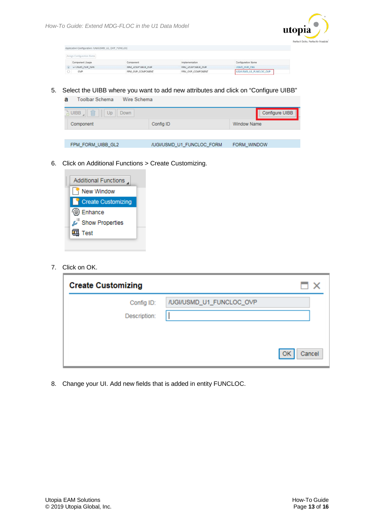

| Application Configuration: /UGI/USMD_U1_OVP_FUNCLOC |                   |                   |                          |
|-----------------------------------------------------|-------------------|-------------------|--------------------------|
| Assign Configuration Name                           |                   |                   |                          |
| Component Usage                                     | Component         | Implementation    | Configuration Name       |
| v USMD OVP GEN                                      | FPM ADAPTABLE OVP | FPM ADAPTABLE OVP | USMD OVP CBA             |
| OVP                                                 | FPM OVP COMPONENT | FPM OVP COMPONENT | /UGI/USMD_U1_FUNCLOC_OVP |

5. Select the UIBB where you want to add new attributes and click on "Configure UIBB"

| Toolbar Schema<br>Wire Schema<br>а |                           |                    |
|------------------------------------|---------------------------|--------------------|
| 血<br>a UIBB<br>Up<br>Down          |                           | Configure UIBB     |
| Component                          | Config ID                 | <b>Window Name</b> |
|                                    |                           |                    |
| FPM_FORM_UIBB_GL2                  | /UGI/USMD U1 FUNCLOC FORM | FORM WINDOW        |
|                                    |                           |                    |

6. Click on Additional Functions > Create Customizing.



7. Click on OK.

| <b>Create Customizing</b>  |                          | ⊓ x          |
|----------------------------|--------------------------|--------------|
| Config ID:<br>Description: | /UGI/USMD_U1_FUNCLOC_OVP |              |
|                            |                          | Cancel<br>OK |

8. Change your UI. Add new fields that is added in entity FUNCLOC.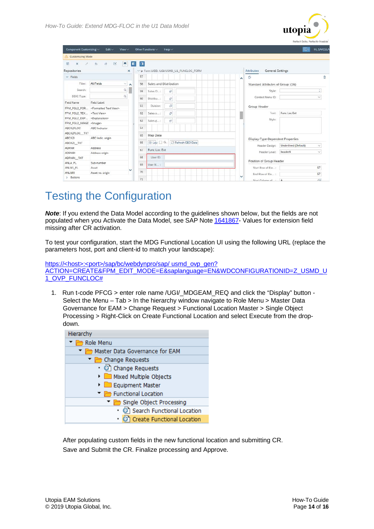| Component Customizing V                  | Edit $\vee$<br>$View \vee$                           |                                                                                                                                                                                                                                                                                                                                                                                                                                        | Other Functions $\vee$   |                        | Help $\vee$            |                    |                                         |  |        |                                              |                             | $ \nabla \cdot$ | <b>Hi, SAKELLA</b> |
|------------------------------------------|------------------------------------------------------|----------------------------------------------------------------------------------------------------------------------------------------------------------------------------------------------------------------------------------------------------------------------------------------------------------------------------------------------------------------------------------------------------------------------------------------|--------------------------|------------------------|------------------------|--------------------|-----------------------------------------|--|--------|----------------------------------------------|-----------------------------|-----------------|--------------------|
| Customizing Mode                         |                                                      |                                                                                                                                                                                                                                                                                                                                                                                                                                        |                          |                        |                        |                    |                                         |  |        |                                              |                             |                 |                    |
| 圐<br>$\times$<br>S.                      | в<br>EY.<br>$\overline{b}$<br>a.                     |                                                                                                                                                                                                                                                                                                                                                                                                                                        | $\Box$<br>$\blacksquare$ |                        |                        |                    |                                         |  |        |                                              |                             |                 |                    |
| Repositories                             |                                                      | $\times$                                                                                                                                                                                                                                                                                                                                                                                                                               |                          |                        |                        |                    | >> Form UIBB: /UGI/USMD_U1_FUNCLOC_FORM |  |        | <b>General Settings</b><br><b>Attributes</b> |                             |                 |                    |
| $\vee$ Fields                            |                                                      |                                                                                                                                                                                                                                                                                                                                                                                                                                        | 57                       |                        |                        |                    |                                         |  | $\sim$ | o                                            |                             |                 | G                  |
| Filter:                                  | <b>All Fields</b>                                    | $\vee$ A                                                                                                                                                                                                                                                                                                                                                                                                                               | 58                       | Sales and Distribution |                        |                    |                                         |  |        | Standard Attributes of Group: (16)           |                             |                 |                    |
| Search:                                  |                                                      | $\begin{array}{c c} \mathbf{Q} & \mathbf{R} & \mathbf{R} \\ \mathbf{R} & \mathbf{R} & \mathbf{R} \\ \mathbf{R} & \mathbf{R} & \mathbf{R} \\ \mathbf{R} & \mathbf{R} & \mathbf{R} \\ \mathbf{R} & \mathbf{R} & \mathbf{R} \\ \mathbf{R} & \mathbf{R} & \mathbf{R} \\ \mathbf{R} & \mathbf{R} & \mathbf{R} \\ \mathbf{R} & \mathbf{R} & \mathbf{R} \\ \mathbf{R} & \mathbf{R} & \mathbf{R} \\ \mathbf{R} & \mathbf{R} & \mathbf{R} \\ \$ | 59                       | Sales O:               | 61                     |                    |                                         |  |        | Style:                                       |                             |                 | ô,                 |
| DDIC Type:                               | $\Omega$                                             |                                                                                                                                                                                                                                                                                                                                                                                                                                        | 60                       | Distribu:              | $\tilde{\mathbb{D}}^2$ |                    |                                         |  |        | Context Menu ID:                             |                             |                 | $\sim$             |
| Field Name                               | <b>Field Label</b>                                   |                                                                                                                                                                                                                                                                                                                                                                                                                                        |                          |                        |                        |                    |                                         |  |        |                                              |                             |                 |                    |
|                                          | FPM_FGL2_FOR <formatted text="" view=""></formatted> |                                                                                                                                                                                                                                                                                                                                                                                                                                        | 61                       | Division:              | a                      |                    |                                         |  |        | Group Header                                 |                             |                 |                    |
| FPM_FGL2_TEX <text view=""></text>       |                                                      |                                                                                                                                                                                                                                                                                                                                                                                                                                        | 62                       | Sales o:               | a                      |                    |                                         |  |        | Text:                                        | Func Loc Ext                |                 |                    |
| FPM_FGL2_EXP <explanation></explanation> |                                                      |                                                                                                                                                                                                                                                                                                                                                                                                                                        | 63                       | Sales g :              | Đ                      |                    |                                         |  |        | Style:                                       |                             |                 |                    |
| FPM_FGL2_IMAGE_ <lmage></lmage>          |                                                      |                                                                                                                                                                                                                                                                                                                                                                                                                                        |                          |                        |                        |                    |                                         |  |        |                                              |                             |                 |                    |
| <b>ABCKZFLOC</b>                         | <b>ABC</b> Indicator                                 |                                                                                                                                                                                                                                                                                                                                                                                                                                        | 64                       |                        |                        |                    |                                         |  |        |                                              |                             |                 |                    |
| ABCKZFLOC_TXT                            |                                                      |                                                                                                                                                                                                                                                                                                                                                                                                                                        | 65                       | Map Data               |                        |                    |                                         |  |        |                                              |                             |                 |                    |
| ABCKZI                                   | ABC indic. origin                                    |                                                                                                                                                                                                                                                                                                                                                                                                                                        |                          |                        |                        |                    |                                         |  |        | Display-Type-Dependent Properties            |                             |                 |                    |
| ABCKZL_TXT                               |                                                      |                                                                                                                                                                                                                                                                                                                                                                                                                                        | 66                       | ⊙ Lau □ G.             |                        | C Refresh GEO Data |                                         |  |        | Header Design:                               | <b>Underlined (Default)</b> |                 | $\vee$             |
| <b>ADRNR</b>                             | Address                                              |                                                                                                                                                                                                                                                                                                                                                                                                                                        | 67                       | Func Loc Ext           |                        |                    |                                         |  |        |                                              |                             |                 |                    |
| <b>ADRNRI</b>                            | Address origin                                       |                                                                                                                                                                                                                                                                                                                                                                                                                                        |                          |                        |                        |                    |                                         |  |        | Header Level:                                | header6                     |                 | $\checkmark$       |
| ADRNRI TXT                               |                                                      |                                                                                                                                                                                                                                                                                                                                                                                                                                        | 68                       | User ID:               |                        |                    |                                         |  |        |                                              |                             |                 |                    |
| ANLA FL                                  | Sub-number                                           |                                                                                                                                                                                                                                                                                                                                                                                                                                        | 69                       | User N :               |                        |                    |                                         |  |        | Position of Group Header                     |                             |                 |                    |
| ANLN1_FL                                 | Asset                                                | v                                                                                                                                                                                                                                                                                                                                                                                                                                      |                          |                        |                        |                    |                                         |  |        | Start Row of Ele:                            |                             |                 | 67                 |
| <b>ANLNRI</b>                            | Asset no. origin                                     |                                                                                                                                                                                                                                                                                                                                                                                                                                        | 70                       |                        |                        |                    |                                         |  |        | End Row of Ele :                             |                             |                 | 67                 |
| > Buttons                                |                                                      |                                                                                                                                                                                                                                                                                                                                                                                                                                        | 71                       |                        |                        |                    |                                         |  | v      | Start Column of                              | $\Delta$                    |                 | $\Box$             |

# <span id="page-13-0"></span>Testing the Configuration

*Note*: If you extend the Data Model according to the guidelines shown below, but the fields are not populated when you Activate the Data Model, see SAP Note [1641867-](https://launchpad.support.sap.com/#/notes/1641867) Values for extension field missing after CR activation.

To test your configuration, start the MDG Functional Location UI using the following URL (replace the parameters host, port and client-id to match your landscape):

https://<host>:<port>/sap/bc/webdynpro/sap/ usmd\_ovp\_gen? ACTION=CREATE&FPM\_EDIT\_MODE=E&saplanguage=EN&WDCONFIGURATIONID=Z\_USMD\_U 1\_OVP\_FUNCLOC#

1. Run t-code PFCG > enter role name /UGI/ MDGEAM REQ and click the "Display" button -Select the Menu – Tab > In the hierarchy window navigate to Role Menu > Master Data Governance for EAM > Change Request > Functional Location Master > Single Object Processing > Right-Click on Create Functional Location and select Execute from the dropdown.



After populating custom fields in the new functional location and submitting CR. Save and Submit the CR. Finalize processing and Approve.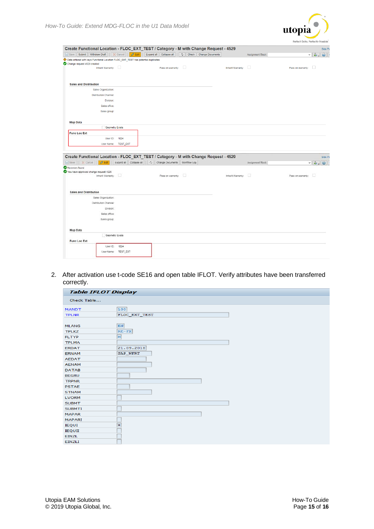

|                                                                                   |                        | Check   Change Documents                                                             |                   | Assignment Block: | $\frac{1}{\sqrt{2}}$   |
|-----------------------------------------------------------------------------------|------------------------|--------------------------------------------------------------------------------------|-------------------|-------------------|------------------------|
| Data entered with keys Functional Location FLOC_EXT_TEST has potential duplicates |                        |                                                                                      |                   |                   |                        |
| Change request 4529 created                                                       |                        |                                                                                      |                   |                   |                        |
| Inherit Warranty:                                                                 |                        | $\Box$<br>Pass on warranty:                                                          | Inherit Warranty: | $\Box$            | Pass on warranty:      |
|                                                                                   |                        |                                                                                      |                   |                   |                        |
| <b>Sales and Distribution</b>                                                     |                        |                                                                                      |                   |                   |                        |
| Sales Organization:                                                               |                        |                                                                                      |                   |                   |                        |
| <b>Distribution Channel:</b>                                                      |                        |                                                                                      |                   |                   |                        |
| Division:                                                                         |                        |                                                                                      |                   |                   |                        |
| Sales office:                                                                     |                        |                                                                                      |                   |                   |                        |
| Sales group:                                                                      |                        |                                                                                      |                   |                   |                        |
| <b>Map Data</b>                                                                   |                        |                                                                                      |                   |                   |                        |
|                                                                                   | <b>Geometry Exists</b> |                                                                                      |                   |                   |                        |
| <b>Func Loc Ext</b>                                                               |                        |                                                                                      |                   |                   |                        |
| User ID:                                                                          | 1024                   |                                                                                      |                   |                   |                        |
|                                                                                   |                        |                                                                                      |                   |                   |                        |
| User Name:                                                                        | <b>TEST_EXT</b>        |                                                                                      |                   |                   |                        |
|                                                                                   |                        | Create Functional Location - FLOC EXT TEST / Category - M with Change Request - 4529 |                   |                   | Side Pa                |
|                                                                                   |                        | Save X Cancel 2 Edit Expand all Collapse all C Change Documents Workflow Log         |                   | Assignment Block  | $\vee$ $3.6$           |
|                                                                                   |                        |                                                                                      |                   |                   |                        |
| Inherit Warranty:                                                                 |                        | Pass on warranty:                                                                    | Inherit Warranty: |                   | Pass on warranty:<br>Ð |
|                                                                                   |                        |                                                                                      |                   |                   |                        |
|                                                                                   |                        |                                                                                      |                   |                   |                        |
| <b>Sales and Distribution</b>                                                     |                        |                                                                                      |                   |                   |                        |
| Sales Organization:                                                               |                        |                                                                                      |                   |                   |                        |
| Distribution Channel:                                                             |                        |                                                                                      |                   |                   |                        |
| Division:                                                                         |                        |                                                                                      |                   |                   |                        |
| Sales office:                                                                     |                        |                                                                                      |                   |                   |                        |
| Sales group:                                                                      |                        |                                                                                      |                   |                   |                        |
|                                                                                   |                        |                                                                                      |                   |                   |                        |
| Map Data                                                                          | Geometry Exists        |                                                                                      |                   |                   |                        |
| <b>Func Loc Ext</b>                                                               |                        |                                                                                      |                   |                   |                        |
| User ID:                                                                          | 1024                   |                                                                                      |                   |                   |                        |
| No errors found<br>You have approved change request 4529                          | User Name: TEST_EXT    |                                                                                      |                   |                   |                        |

2. After activation use t-code SE16 and open table IFLOT. Verify attributes have been transferred correctly.

| <b>Table IFLOT Display</b> |                         |
|----------------------------|-------------------------|
| Check Table                |                         |
| <b>MANDT</b>               | 100                     |
| <b>TPLNR</b>               | FLOC EXT TEST           |
|                            | EN                      |
| <b>MLANG</b>               |                         |
| <b>TPLKZ</b>               | $RE-FX$                 |
| <b>FLTYP</b>               | $\overline{\mathbf{M}}$ |
| <b>TPLMA</b>               |                         |
| <b>ERDAT</b>               | 21.09.2018              |
| <b>ERNAM</b>               | SAP_WFRT                |
| <b>AEDAT</b>               |                         |
| <b>AENAM</b>               |                         |
| <b>DATAB</b>               |                         |
| <b>BEGRU</b>               |                         |
| <b>TRPNR</b>               |                         |
| <b>PSTAE</b>               |                         |
| <b>STNAM</b>               |                         |
| <b>LVORM</b>               |                         |
| <b>SUBMT</b>               |                         |
| <b>SUBMTI</b>              |                         |
| <b>MAPAR</b>               |                         |
| <b>MAPARI</b>              |                         |
| <b>IEQUI</b>               | $\overline{\mathbf{x}}$ |
| <b>IEQUII</b>              |                         |
| <b>EINZL</b>               |                         |
| <b>EINZLI</b>              |                         |